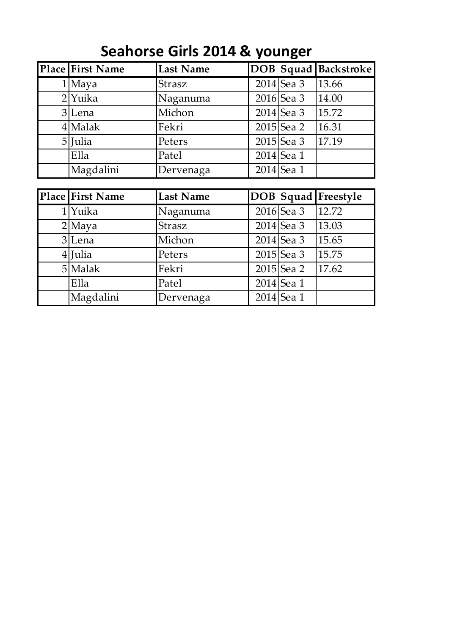| Place First Name | <b>Last Name</b> |              | <b>DOB Squad Backstroke</b> |
|------------------|------------------|--------------|-----------------------------|
| 1 Maya           | Strasz           | $2014$ Sea 3 | 13.66                       |
| $2$ Yuika        | Naganuma         | $2016$ Sea 3 | 14.00                       |
| 3 Lena           | Michon           | $2014$ Sea 3 | 15.72                       |
| $4$ Malak        | Fekri            | $2015$ Sea 2 | 16.31                       |
| 5 Julia          | Peters           | $2015$ Sea 3 | 17.19                       |
| Ella             | Patel            | $2014$ Sea 1 |                             |
| Magdalini        | Dervenaga        | $2014$ Sea 1 |                             |

## **Seahorse Girls 2014 & younger**

| Place First Name | <b>Last Name</b> |              | <b>DOB Squad Freestyle</b> |
|------------------|------------------|--------------|----------------------------|
| 1 Yuika          | Naganuma         | $2016$ Sea 3 | 12.72                      |
| $2$ Maya         | Strasz           | $2014$ Sea 3 | 13.03                      |
| 3 Lena           | Michon           | $2014$ Sea 3 | 15.65                      |
| $4$ <i>Julia</i> | Peters           | $2015$ Sea 3 | 15.75                      |
| 5 Malak          | Fekri            | $2015$ Sea 2 | 17.62                      |
| Ella             | Patel            | $2014$ Sea 1 |                            |
| Magdalini        | Dervenaga        | $2014$ Sea 1 |                            |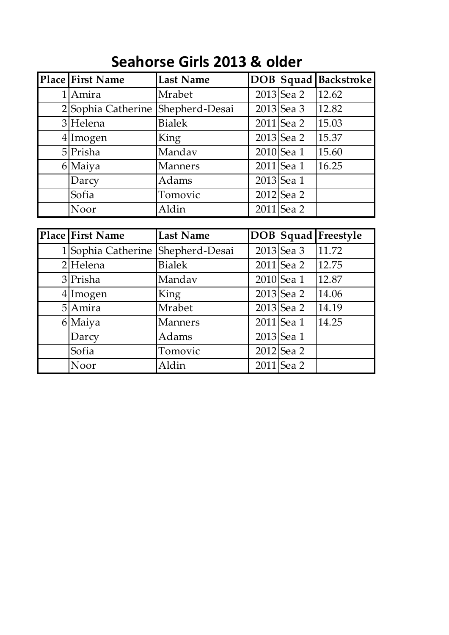## **Seahorse Girls 2013 & older**

| <b>Place First Name</b> | <b>Last Name</b> |              | <b>DOB Squad Backstroke</b> |
|-------------------------|------------------|--------------|-----------------------------|
| 1 Amira                 | Mrabet           | $2013$ Sea 2 | 12.62                       |
| 2 Sophia Catherine      | Shepherd-Desai   | $2013$ Sea 3 | 12.82                       |
| 3 Helena                | <b>Bialek</b>    | $2011$ Sea 2 | 15.03                       |
| $4$ Imogen              | King             | $2013$ Sea 2 | 15.37                       |
| $5$ Prisha              | Mandav           | $2010$ Sea 1 | 15.60                       |
| 6 Maiya                 | <b>Manners</b>   | $2011$ Sea 1 | 16.25                       |
| Darcy                   | Adams            | 2013 Sea 1   |                             |
| Sofia                   | Tomovic          | 2012 Sea 2   |                             |
| Noor                    | Aldin            | $2011$ Sea 2 |                             |

| <b>Place First Name</b> | <b>Last Name</b> |              | <b>DOB</b> Squad Freestyle |
|-------------------------|------------------|--------------|----------------------------|
| 1 Sophia Catherine      | Shepherd-Desai   | $2013$ Sea 3 | 11.72                      |
| $2$ Helena              | <b>Bialek</b>    | $2011$ Sea 2 | 12.75                      |
| 3 Prisha                | Mandav           | $2010$ Sea 1 | 12.87                      |
| $4$ Imogen              | King             | $2013$ Sea 2 | 14.06                      |
| 5 Amira                 | Mrabet           | $2013$ Sea 2 | 14.19                      |
| 6 Maiya                 | <b>Manners</b>   | $2011$ Sea 1 | 14.25                      |
| Darcy                   | Adams            | 2013 Sea 1   |                            |
| Sofia                   | Tomovic          | 2012 Sea 2   |                            |
| Noor                    | Aldin            | 2011 Sea 2   |                            |